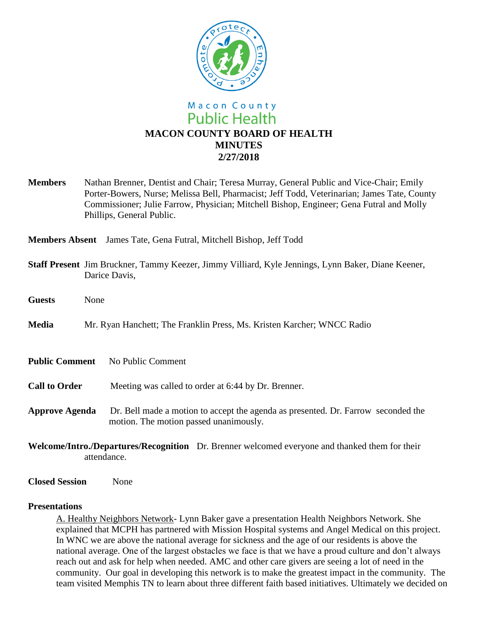

**Members** Nathan Brenner, Dentist and Chair; Teresa Murray, General Public and Vice-Chair; Emily Porter-Bowers, Nurse; Melissa Bell, Pharmacist; Jeff Todd, Veterinarian; James Tate, County Commissioner; Julie Farrow, Physician; Mitchell Bishop, Engineer; Gena Futral and Molly Phillips, General Public.

**Members Absent** James Tate, Gena Futral, Mitchell Bishop, Jeff Todd

|                                                                                                               | Staff Present Jim Bruckner, Tammy Keezer, Jimmy Villiard, Kyle Jennings, Lynn Baker, Diane Keener,<br>Darice Davis,         |  |
|---------------------------------------------------------------------------------------------------------------|-----------------------------------------------------------------------------------------------------------------------------|--|
| <b>Guests</b>                                                                                                 | None                                                                                                                        |  |
| <b>Media</b>                                                                                                  | Mr. Ryan Hanchett; The Franklin Press, Ms. Kristen Karcher; WNCC Radio                                                      |  |
| <b>Public Comment</b>                                                                                         | No Public Comment                                                                                                           |  |
| <b>Call to Order</b>                                                                                          | Meeting was called to order at 6:44 by Dr. Brenner.                                                                         |  |
| <b>Approve Agenda</b>                                                                                         | Dr. Bell made a motion to accept the agenda as presented. Dr. Farrow seconded the<br>motion. The motion passed unanimously. |  |
| Welcome/Intro./Departures/Recognition Dr. Brenner welcomed everyone and thanked them for their<br>attendance. |                                                                                                                             |  |

**Closed Session** None

#### **Presentations**

A. Healthy Neighbors Network- Lynn Baker gave a presentation Health Neighbors Network. She explained that MCPH has partnered with Mission Hospital systems and Angel Medical on this project. In WNC we are above the national average for sickness and the age of our residents is above the national average. One of the largest obstacles we face is that we have a proud culture and don't always reach out and ask for help when needed. AMC and other care givers are seeing a lot of need in the community. Our goal in developing this network is to make the greatest impact in the community. The team visited Memphis TN to learn about three different faith based initiatives. Ultimately we decided on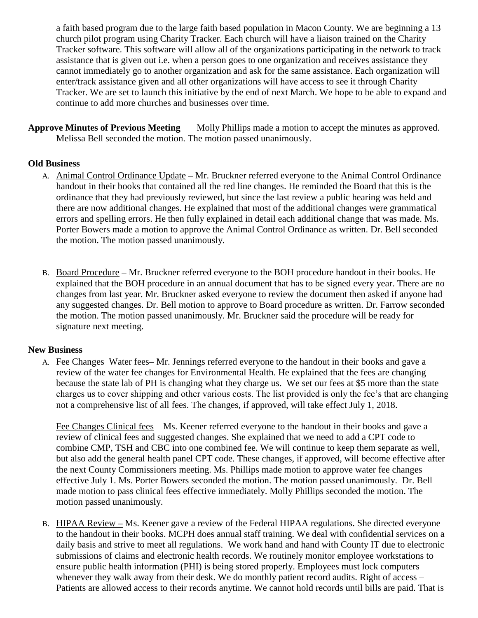a faith based program due to the large faith based population in Macon County. We are beginning a 13 church pilot program using Charity Tracker. Each church will have a liaison trained on the Charity Tracker software. This software will allow all of the organizations participating in the network to track assistance that is given out i.e. when a person goes to one organization and receives assistance they cannot immediately go to another organization and ask for the same assistance. Each organization will enter/track assistance given and all other organizations will have access to see it through Charity Tracker. We are set to launch this initiative by the end of next March. We hope to be able to expand and continue to add more churches and businesses over time.

**Approve Minutes of Previous Meeting** Molly Phillips made a motion to accept the minutes as approved. Melissa Bell seconded the motion. The motion passed unanimously.

# **Old Business**

- A. Animal Control Ordinance Update **–** Mr. Bruckner referred everyone to the Animal Control Ordinance handout in their books that contained all the red line changes. He reminded the Board that this is the ordinance that they had previously reviewed, but since the last review a public hearing was held and there are now additional changes. He explained that most of the additional changes were grammatical errors and spelling errors. He then fully explained in detail each additional change that was made. Ms. Porter Bowers made a motion to approve the Animal Control Ordinance as written. Dr. Bell seconded the motion. The motion passed unanimously.
- B. Board Procedure **–** Mr. Bruckner referred everyone to the BOH procedure handout in their books. He explained that the BOH procedure in an annual document that has to be signed every year. There are no changes from last year. Mr. Bruckner asked everyone to review the document then asked if anyone had any suggested changes. Dr. Bell motion to approve to Board procedure as written. Dr. Farrow seconded the motion. The motion passed unanimously. Mr. Bruckner said the procedure will be ready for signature next meeting.

# **New Business**

A. Fee Changes Water fees**–** Mr. Jennings referred everyone to the handout in their books and gave a review of the water fee changes for Environmental Health. He explained that the fees are changing because the state lab of PH is changing what they charge us. We set our fees at \$5 more than the state charges us to cover shipping and other various costs. The list provided is only the fee's that are changing not a comprehensive list of all fees. The changes, if approved, will take effect July 1, 2018.

Fee Changes Clinical fees – Ms. Keener referred everyone to the handout in their books and gave a review of clinical fees and suggested changes. She explained that we need to add a CPT code to combine CMP, TSH and CBC into one combined fee. We will continue to keep them separate as well, but also add the general health panel CPT code. These changes, if approved, will become effective after the next County Commissioners meeting. Ms. Phillips made motion to approve water fee changes effective July 1. Ms. Porter Bowers seconded the motion. The motion passed unanimously. Dr. Bell made motion to pass clinical fees effective immediately. Molly Phillips seconded the motion. The motion passed unanimously.

B. HIPAA Review **–** Ms. Keener gave a review of the Federal HIPAA regulations. She directed everyone to the handout in their books. MCPH does annual staff training. We deal with confidential services on a daily basis and strive to meet all regulations. We work hand and hand with County IT due to electronic submissions of claims and electronic health records. We routinely monitor employee workstations to ensure public health information (PHI) is being stored properly. Employees must lock computers whenever they walk away from their desk. We do monthly patient record audits. Right of access – Patients are allowed access to their records anytime. We cannot hold records until bills are paid. That is